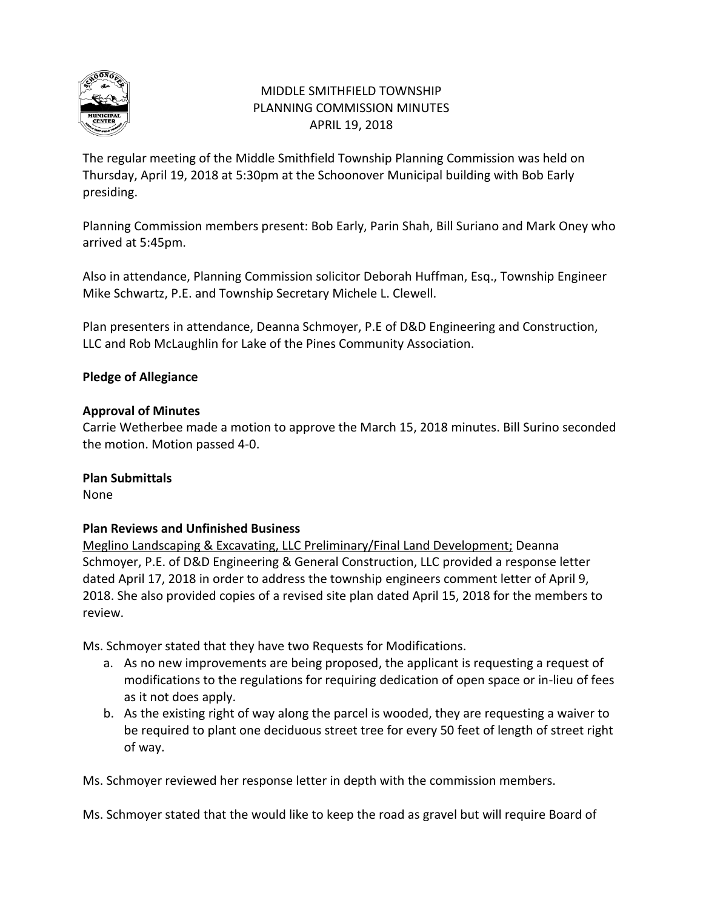

# MIDDLE SMITHFIELD TOWNSHIP PLANNING COMMISSION MINUTES APRIL 19, 2018

The regular meeting of the Middle Smithfield Township Planning Commission was held on Thursday, April 19, 2018 at 5:30pm at the Schoonover Municipal building with Bob Early presiding.

Planning Commission members present: Bob Early, Parin Shah, Bill Suriano and Mark Oney who arrived at 5:45pm.

Also in attendance, Planning Commission solicitor Deborah Huffman, Esq., Township Engineer Mike Schwartz, P.E. and Township Secretary Michele L. Clewell.

Plan presenters in attendance, Deanna Schmoyer, P.E of D&D Engineering and Construction, LLC and Rob McLaughlin for Lake of the Pines Community Association.

### **Pledge of Allegiance**

### **Approval of Minutes**

Carrie Wetherbee made a motion to approve the March 15, 2018 minutes. Bill Surino seconded the motion. Motion passed 4-0.

### **Plan Submittals**

None

### **Plan Reviews and Unfinished Business**

Meglino Landscaping & Excavating, LLC Preliminary/Final Land Development; Deanna Schmoyer, P.E. of D&D Engineering & General Construction, LLC provided a response letter dated April 17, 2018 in order to address the township engineers comment letter of April 9, 2018. She also provided copies of a revised site plan dated April 15, 2018 for the members to review.

Ms. Schmoyer stated that they have two Requests for Modifications.

- a. As no new improvements are being proposed, the applicant is requesting a request of modifications to the regulations for requiring dedication of open space or in-lieu of fees as it not does apply.
- b. As the existing right of way along the parcel is wooded, they are requesting a waiver to be required to plant one deciduous street tree for every 50 feet of length of street right of way.

Ms. Schmoyer reviewed her response letter in depth with the commission members.

Ms. Schmoyer stated that the would like to keep the road as gravel but will require Board of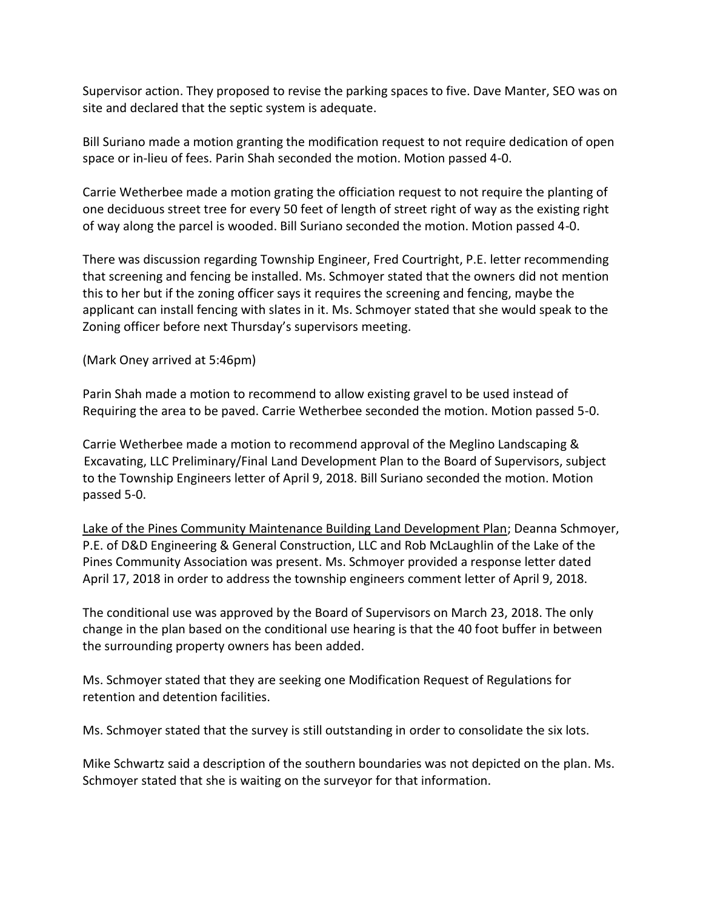Supervisor action. They proposed to revise the parking spaces to five. Dave Manter, SEO was on site and declared that the septic system is adequate.

Bill Suriano made a motion granting the modification request to not require dedication of open space or in-lieu of fees. Parin Shah seconded the motion. Motion passed 4-0.

Carrie Wetherbee made a motion grating the officiation request to not require the planting of one deciduous street tree for every 50 feet of length of street right of way as the existing right of way along the parcel is wooded. Bill Suriano seconded the motion. Motion passed 4-0.

There was discussion regarding Township Engineer, Fred Courtright, P.E. letter recommending that screening and fencing be installed. Ms. Schmoyer stated that the owners did not mention this to her but if the zoning officer says it requires the screening and fencing, maybe the applicant can install fencing with slates in it. Ms. Schmoyer stated that she would speak to the Zoning officer before next Thursday's supervisors meeting.

(Mark Oney arrived at 5:46pm)

Parin Shah made a motion to recommend to allow existing gravel to be used instead of Requiring the area to be paved. Carrie Wetherbee seconded the motion. Motion passed 5-0.

Carrie Wetherbee made a motion to recommend approval of the Meglino Landscaping & Excavating, LLC Preliminary/Final Land Development Plan to the Board of Supervisors, subject to the Township Engineers letter of April 9, 2018. Bill Suriano seconded the motion. Motion passed 5-0.

Lake of the Pines Community Maintenance Building Land Development Plan; Deanna Schmoyer, P.E. of D&D Engineering & General Construction, LLC and Rob McLaughlin of the Lake of the Pines Community Association was present. Ms. Schmoyer provided a response letter dated April 17, 2018 in order to address the township engineers comment letter of April 9, 2018.

The conditional use was approved by the Board of Supervisors on March 23, 2018. The only change in the plan based on the conditional use hearing is that the 40 foot buffer in between the surrounding property owners has been added.

Ms. Schmoyer stated that they are seeking one Modification Request of Regulations for retention and detention facilities.

Ms. Schmoyer stated that the survey is still outstanding in order to consolidate the six lots.

Mike Schwartz said a description of the southern boundaries was not depicted on the plan. Ms. Schmoyer stated that she is waiting on the surveyor for that information.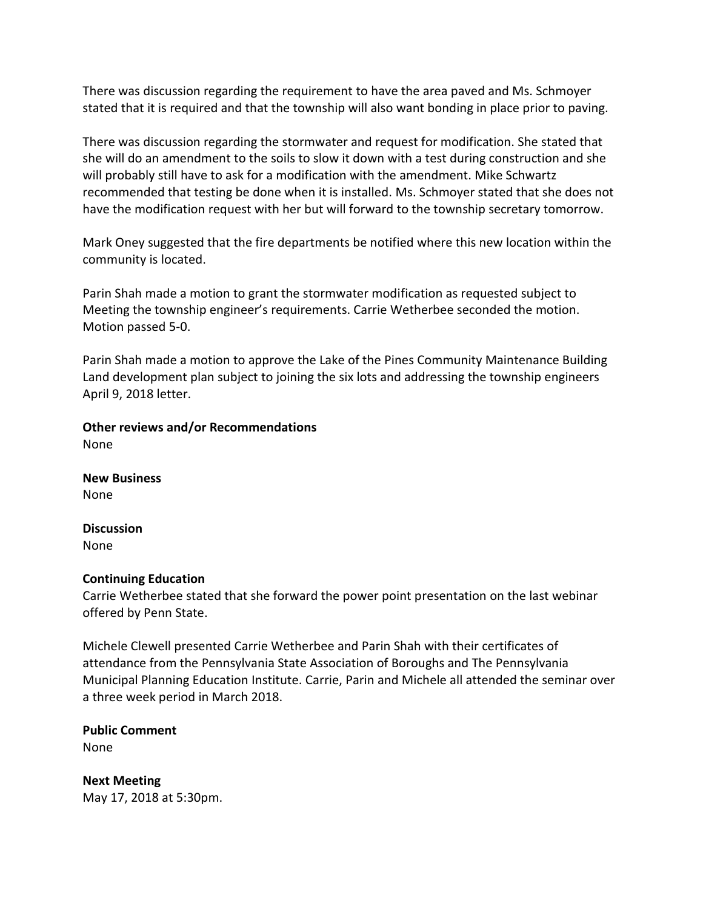There was discussion regarding the requirement to have the area paved and Ms. Schmoyer stated that it is required and that the township will also want bonding in place prior to paving.

There was discussion regarding the stormwater and request for modification. She stated that she will do an amendment to the soils to slow it down with a test during construction and she will probably still have to ask for a modification with the amendment. Mike Schwartz recommended that testing be done when it is installed. Ms. Schmoyer stated that she does not have the modification request with her but will forward to the township secretary tomorrow.

Mark Oney suggested that the fire departments be notified where this new location within the community is located.

Parin Shah made a motion to grant the stormwater modification as requested subject to Meeting the township engineer's requirements. Carrie Wetherbee seconded the motion. Motion passed 5-0.

Parin Shah made a motion to approve the Lake of the Pines Community Maintenance Building Land development plan subject to joining the six lots and addressing the township engineers April 9, 2018 letter.

**Other reviews and/or Recommendations** None

**New Business** None

**Discussion**  None

### **Continuing Education**

Carrie Wetherbee stated that she forward the power point presentation on the last webinar offered by Penn State.

Michele Clewell presented Carrie Wetherbee and Parin Shah with their certificates of attendance from the Pennsylvania State Association of Boroughs and The Pennsylvania Municipal Planning Education Institute. Carrie, Parin and Michele all attended the seminar over a three week period in March 2018.

**Public Comment** None

**Next Meeting** May 17, 2018 at 5:30pm.